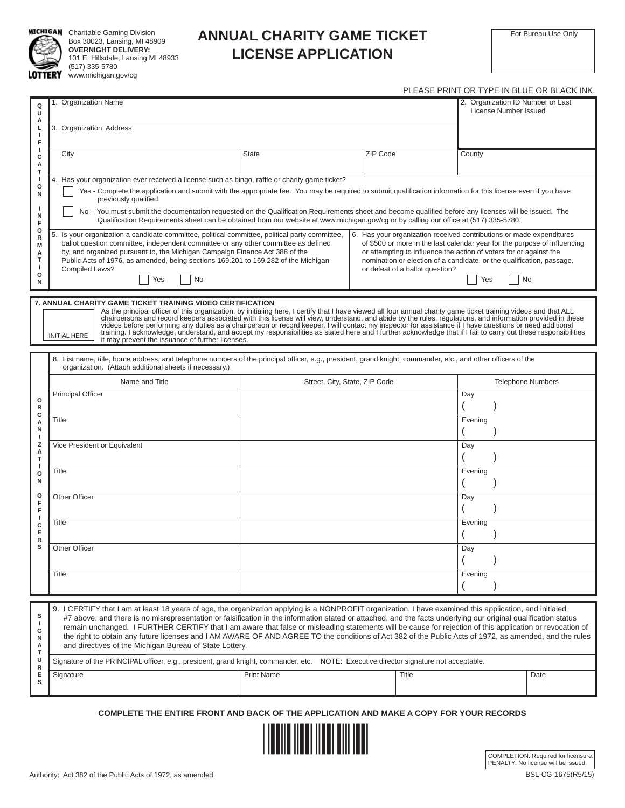

**MICHIGAN** Charitable Gaming Division Box 30023, Lansing, MI 48909 **OVERNIGHT DELIVERY:** 101 E. Hillsdale, Lansing MI 48933 (517) 335-5780

## TERY www.michigan.gov/cg

PLEASE PRINT OR TYPE IN BLUE OR BLACK INK.

| Q<br>U<br>А<br>L<br>-1<br>F                                                              | 1. Organization Name<br>3. Organization Address                                                                                                                                                                                                                                                                                                                                                                                                                                                                                                                                                                                                                                                                                                                                                                                                                                                                                                                                                                                                                                                                                                                                                                                                                                                                                           |                               |          | 2. Organization ID Number or Last<br>License Number Issued |                          |  |  |
|------------------------------------------------------------------------------------------|-------------------------------------------------------------------------------------------------------------------------------------------------------------------------------------------------------------------------------------------------------------------------------------------------------------------------------------------------------------------------------------------------------------------------------------------------------------------------------------------------------------------------------------------------------------------------------------------------------------------------------------------------------------------------------------------------------------------------------------------------------------------------------------------------------------------------------------------------------------------------------------------------------------------------------------------------------------------------------------------------------------------------------------------------------------------------------------------------------------------------------------------------------------------------------------------------------------------------------------------------------------------------------------------------------------------------------------------|-------------------------------|----------|------------------------------------------------------------|--------------------------|--|--|
| <sup>1</sup><br>с<br>А                                                                   | City                                                                                                                                                                                                                                                                                                                                                                                                                                                                                                                                                                                                                                                                                                                                                                                                                                                                                                                                                                                                                                                                                                                                                                                                                                                                                                                                      | <b>State</b>                  | ZIP Code | County                                                     |                          |  |  |
| т<br>ı<br>o<br>N<br>N<br>F<br>o<br>$\mathsf R$<br>M<br>А<br>т<br>o<br>N                  | 4. Has your organization ever received a license such as bingo, raffle or charity game ticket?<br>Yes - Complete the application and submit with the appropriate fee. You may be required to submit qualification information for this license even if you have<br>previously qualified.<br>No - You must submit the documentation requested on the Qualification Requirements sheet and become qualified before any licenses will be issued. The<br>Qualification Requirements sheet can be obtained from our website at www.michigan.gov/cg or by calling our office at (517) 335-5780.<br>5. Is your organization a candidate committee, political committee, political party committee,<br>6. Has your organization received contributions or made expenditures<br>ballot question committee, independent committee or any other committee as defined<br>of \$500 or more in the last calendar year for the purpose of influencing<br>by, and organized pursuant to, the Michigan Campaign Finance Act 388 of the<br>or attempting to influence the action of voters for or against the<br>Public Acts of 1976, as amended, being sections 169.201 to 169.282 of the Michigan<br>nomination or election of a candidate, or the qualification, passage,<br>Compiled Laws?<br>or defeat of a ballot question?<br>No<br>No<br>Yes<br>Yes |                               |          |                                                            |                          |  |  |
|                                                                                          |                                                                                                                                                                                                                                                                                                                                                                                                                                                                                                                                                                                                                                                                                                                                                                                                                                                                                                                                                                                                                                                                                                                                                                                                                                                                                                                                           |                               |          |                                                            |                          |  |  |
|                                                                                          | 7. ANNUAL CHARITY GAME TICKET TRAINING VIDEO CERTIFICATION<br>As the principal officer of this organization, by initialing here, I certify that I have viewed all four annual charity game ticket training videos and that ALL<br>chairpersons and record keepers associated with this license will view, understand, and abide by the rules, regulations, and information provided in these<br>videos before performing any duties as a chairperson or record keeper. I will contact my inspector for assistance if I have questions or need additional<br>training. I acknowledge, understand, and accept my responsibilities as stated here and I further acknowledge that if I fail to carry out these responsibilities<br><b>INITIAL HERE</b><br>it may prevent the issuance of further licenses.                                                                                                                                                                                                                                                                                                                                                                                                                                                                                                                                    |                               |          |                                                            |                          |  |  |
|                                                                                          | 8. List name, title, home address, and telephone numbers of the principal officer, e.g., president, grand knight, commander, etc., and other officers of the<br>organization. (Attach additional sheets if necessary.)                                                                                                                                                                                                                                                                                                                                                                                                                                                                                                                                                                                                                                                                                                                                                                                                                                                                                                                                                                                                                                                                                                                    |                               |          |                                                            |                          |  |  |
|                                                                                          | Name and Title                                                                                                                                                                                                                                                                                                                                                                                                                                                                                                                                                                                                                                                                                                                                                                                                                                                                                                                                                                                                                                                                                                                                                                                                                                                                                                                            | Street, City, State, ZIP Code |          |                                                            | <b>Telephone Numbers</b> |  |  |
| $\circ$<br>$\mathsf{R}$                                                                  | <b>Principal Officer</b>                                                                                                                                                                                                                                                                                                                                                                                                                                                                                                                                                                                                                                                                                                                                                                                                                                                                                                                                                                                                                                                                                                                                                                                                                                                                                                                  |                               |          | Day                                                        |                          |  |  |
| G<br>А<br>N<br>-1<br>z<br>A<br>T<br>ı<br>$\circ$<br>N<br>o<br>F<br>F<br>ı<br>c<br>Е<br>R | Title                                                                                                                                                                                                                                                                                                                                                                                                                                                                                                                                                                                                                                                                                                                                                                                                                                                                                                                                                                                                                                                                                                                                                                                                                                                                                                                                     |                               |          | Evening                                                    |                          |  |  |
|                                                                                          | Vice President or Equivalent                                                                                                                                                                                                                                                                                                                                                                                                                                                                                                                                                                                                                                                                                                                                                                                                                                                                                                                                                                                                                                                                                                                                                                                                                                                                                                              |                               |          | Day                                                        |                          |  |  |
|                                                                                          | Title                                                                                                                                                                                                                                                                                                                                                                                                                                                                                                                                                                                                                                                                                                                                                                                                                                                                                                                                                                                                                                                                                                                                                                                                                                                                                                                                     |                               |          | Evening                                                    |                          |  |  |
|                                                                                          | Other Officer                                                                                                                                                                                                                                                                                                                                                                                                                                                                                                                                                                                                                                                                                                                                                                                                                                                                                                                                                                                                                                                                                                                                                                                                                                                                                                                             |                               |          | Day                                                        |                          |  |  |
|                                                                                          | Title                                                                                                                                                                                                                                                                                                                                                                                                                                                                                                                                                                                                                                                                                                                                                                                                                                                                                                                                                                                                                                                                                                                                                                                                                                                                                                                                     |                               |          | Evening                                                    |                          |  |  |
| s                                                                                        | Other Officer                                                                                                                                                                                                                                                                                                                                                                                                                                                                                                                                                                                                                                                                                                                                                                                                                                                                                                                                                                                                                                                                                                                                                                                                                                                                                                                             |                               |          | Day                                                        |                          |  |  |
|                                                                                          | Title                                                                                                                                                                                                                                                                                                                                                                                                                                                                                                                                                                                                                                                                                                                                                                                                                                                                                                                                                                                                                                                                                                                                                                                                                                                                                                                                     |                               |          | Evening                                                    |                          |  |  |
|                                                                                          |                                                                                                                                                                                                                                                                                                                                                                                                                                                                                                                                                                                                                                                                                                                                                                                                                                                                                                                                                                                                                                                                                                                                                                                                                                                                                                                                           |                               |          |                                                            |                          |  |  |
| s<br>J.<br>G<br>N<br>Α<br>т                                                              | 9. I CERTIFY that I am at least 18 years of age, the organization applying is a NONPROFIT organization, I have examined this application, and initialed<br>#7 above, and there is no misrepresentation or falsification in the information stated or attached, and the facts underlying our original qualification status<br>remain unchanged. I FURTHER CERTIFY that I am aware that false or misleading statements will be cause for rejection of this application or revocation of<br>the right to obtain any future licenses and I AM AWARE OF AND AGREE TO the conditions of Act 382 of the Public Acts of 1972, as amended, and the rules<br>and directives of the Michigan Bureau of State Lottery.                                                                                                                                                                                                                                                                                                                                                                                                                                                                                                                                                                                                                                |                               |          |                                                            |                          |  |  |
| U<br>R                                                                                   | Signature of the PRINCIPAL officer, e.g., president, grand knight, commander, etc. NOTE: Executive director signature not acceptable.                                                                                                                                                                                                                                                                                                                                                                                                                                                                                                                                                                                                                                                                                                                                                                                                                                                                                                                                                                                                                                                                                                                                                                                                     |                               |          |                                                            |                          |  |  |
| Е<br>s                                                                                   | Signature                                                                                                                                                                                                                                                                                                                                                                                                                                                                                                                                                                                                                                                                                                                                                                                                                                                                                                                                                                                                                                                                                                                                                                                                                                                                                                                                 | <b>Print Name</b>             | Title    |                                                            | Date                     |  |  |
|                                                                                          |                                                                                                                                                                                                                                                                                                                                                                                                                                                                                                                                                                                                                                                                                                                                                                                                                                                                                                                                                                                                                                                                                                                                                                                                                                                                                                                                           |                               |          |                                                            |                          |  |  |

**COMPLETE THE ENTIRE FRONT AND BACK OF THE APPLICATION AND MAKE A COPY FOR YOUR RECORDS**



COMPLETION: Required for licensure. PENALTY: No license will be issued.